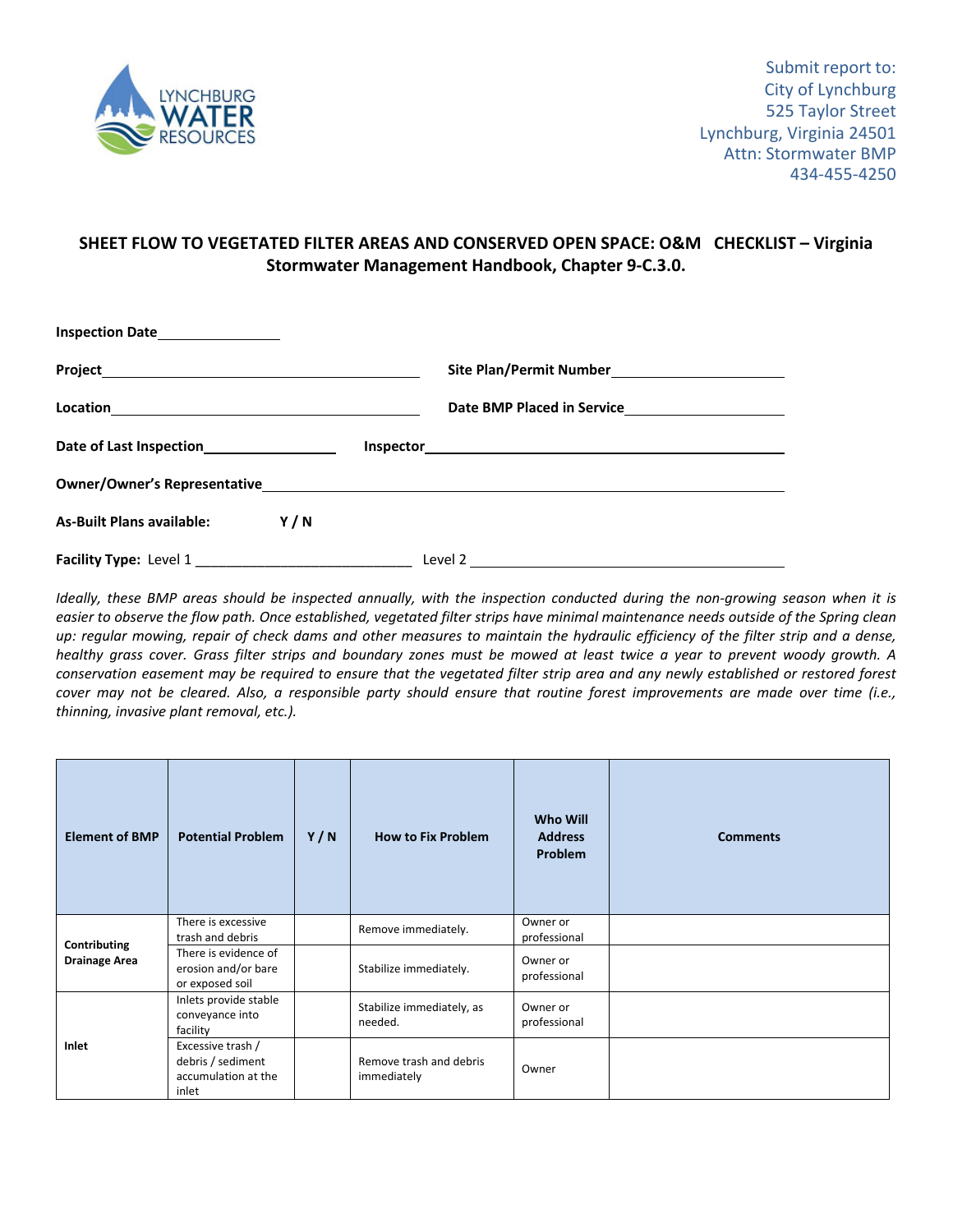

## **SHEET FLOW TO VEGETATED FILTER AREAS AND CONSERVED OPEN SPACE: O&M CHECKLIST – Virginia Stormwater Management Handbook, Chapter 9‐C.3.0.**

| Inspection Date___________________                                                                                                                                                                                                                                                                                                                                 |     |                                               |  |  |
|--------------------------------------------------------------------------------------------------------------------------------------------------------------------------------------------------------------------------------------------------------------------------------------------------------------------------------------------------------------------|-----|-----------------------------------------------|--|--|
| Project Project Project Project Project Project Project Project Project Project Project Project Project Project                                                                                                                                                                                                                                                    |     |                                               |  |  |
| $\begin{picture}(150,10) \put(0,0){\vector(1,0){100}} \put(15,0){\vector(1,0){100}} \put(15,0){\vector(1,0){100}} \put(15,0){\vector(1,0){100}} \put(15,0){\vector(1,0){100}} \put(15,0){\vector(1,0){100}} \put(15,0){\vector(1,0){100}} \put(15,0){\vector(1,0){100}} \put(15,0){\vector(1,0){100}} \put(15,0){\vector(1,0){100}} \put(15,0){\vector(1,0){100}}$ |     |                                               |  |  |
| Date of Last Inspection<br><u>Last of Last Inspection</u>                                                                                                                                                                                                                                                                                                          |     |                                               |  |  |
|                                                                                                                                                                                                                                                                                                                                                                    |     |                                               |  |  |
| <b>As-Built Plans available:</b>                                                                                                                                                                                                                                                                                                                                   | Y/N |                                               |  |  |
| Facility Type: Level 1                                                                                                                                                                                                                                                                                                                                             |     | Level 2 <u>______________________________</u> |  |  |

Ideally, these BMP areas should be inspected annually, with the inspection conducted during the non-growing season when it is easier to observe the flow path. Once established, vegetated filter strips have minimal maintenance needs outside of the Spring clean up: regular mowing, repair of check dams and other measures to maintain the hydraulic efficiency of the filter strip and a dense, healthy grass cover. Grass filter strips and boundary zones must be mowed at least twice a year to prevent woody growth. A conservation easement may be required to ensure that the vegetated filter strip area and any newly established or restored forest cover may not be cleared. Also, a responsible party should ensure that routine forest improvements are made over time (i.e., *thinning, invasive plant removal, etc.).*

| <b>Element of BMP</b>                | <b>Potential Problem</b>                                               | Y/N | <b>How to Fix Problem</b>              | <b>Who Will</b><br><b>Address</b><br><b>Problem</b> | <b>Comments</b> |
|--------------------------------------|------------------------------------------------------------------------|-----|----------------------------------------|-----------------------------------------------------|-----------------|
| Contributing<br><b>Drainage Area</b> | There is excessive<br>trash and debris                                 |     | Remove immediately.                    | Owner or<br>professional                            |                 |
|                                      | There is evidence of<br>erosion and/or bare<br>or exposed soil         |     | Stabilize immediately.                 | Owner or<br>professional                            |                 |
| Inlet                                | Inlets provide stable<br>conveyance into<br>facility                   |     | Stabilize immediately, as<br>needed.   | Owner or<br>professional                            |                 |
|                                      | Excessive trash /<br>debris / sediment<br>accumulation at the<br>inlet |     | Remove trash and debris<br>immediately | Owner                                               |                 |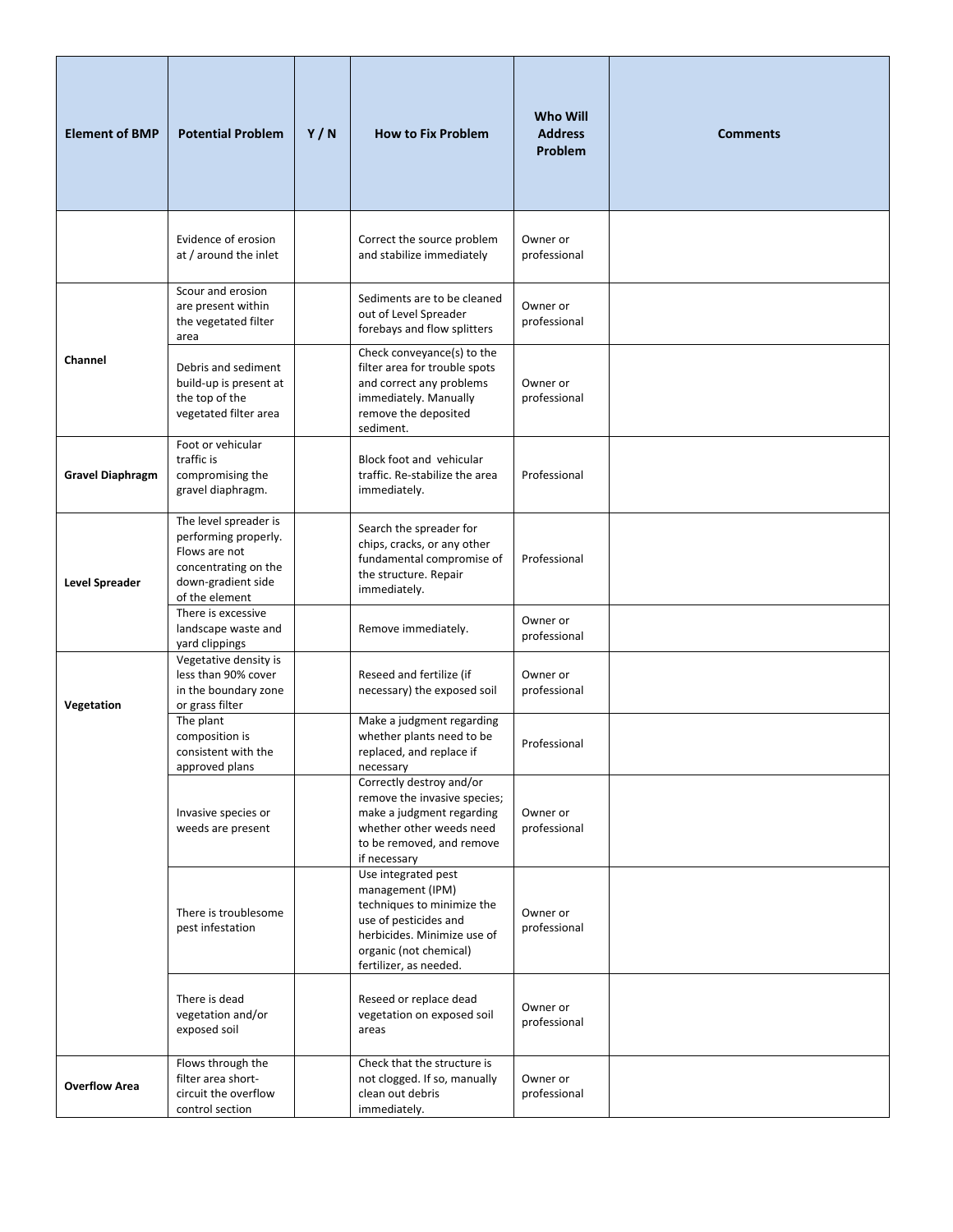| <b>Element of BMP</b>   | <b>Potential Problem</b>                                                                                                       | Y/N | <b>How to Fix Problem</b>                                                                                                                                                         | <b>Who Will</b><br><b>Address</b><br>Problem | <b>Comments</b> |
|-------------------------|--------------------------------------------------------------------------------------------------------------------------------|-----|-----------------------------------------------------------------------------------------------------------------------------------------------------------------------------------|----------------------------------------------|-----------------|
|                         | Evidence of erosion<br>at / around the inlet                                                                                   |     | Correct the source problem<br>and stabilize immediately                                                                                                                           | Owner or<br>professional                     |                 |
|                         | Scour and erosion<br>are present within<br>the vegetated filter<br>area                                                        |     | Sediments are to be cleaned<br>out of Level Spreader<br>forebays and flow splitters                                                                                               | Owner or<br>professional                     |                 |
| Channel                 | Debris and sediment<br>build-up is present at<br>the top of the<br>vegetated filter area                                       |     | Check conveyance(s) to the<br>filter area for trouble spots<br>and correct any problems<br>immediately. Manually<br>remove the deposited<br>sediment.                             | Owner or<br>professional                     |                 |
| <b>Gravel Diaphragm</b> | Foot or vehicular<br>traffic is<br>compromising the<br>gravel diaphragm.                                                       |     | Block foot and vehicular<br>traffic. Re-stabilize the area<br>immediately.                                                                                                        | Professional                                 |                 |
| Level Spreader          | The level spreader is<br>performing properly.<br>Flows are not<br>concentrating on the<br>down-gradient side<br>of the element |     | Search the spreader for<br>chips, cracks, or any other<br>fundamental compromise of<br>the structure. Repair<br>immediately.                                                      | Professional                                 |                 |
|                         | There is excessive<br>landscape waste and<br>yard clippings                                                                    |     | Remove immediately.                                                                                                                                                               | Owner or<br>professional                     |                 |
| Vegetation              | Vegetative density is<br>less than 90% cover<br>in the boundary zone<br>or grass filter                                        |     | Reseed and fertilize (if<br>necessary) the exposed soil                                                                                                                           | Owner or<br>professional                     |                 |
|                         | The plant<br>composition is<br>consistent with the<br>approved plans                                                           |     | Make a judgment regarding<br>whether plants need to be<br>replaced, and replace if<br>necessary                                                                                   | Professional                                 |                 |
|                         | Invasive species or<br>weeds are present                                                                                       |     | Correctly destroy and/or<br>remove the invasive species;<br>make a judgment regarding<br>whether other weeds need<br>to be removed, and remove<br>if necessary                    | Owner or<br>professional                     |                 |
|                         | There is troublesome<br>pest infestation                                                                                       |     | Use integrated pest<br>management (IPM)<br>techniques to minimize the<br>use of pesticides and<br>herbicides. Minimize use of<br>organic (not chemical)<br>fertilizer, as needed. | Owner or<br>professional                     |                 |
|                         | There is dead<br>vegetation and/or<br>exposed soil                                                                             |     | Reseed or replace dead<br>vegetation on exposed soil<br>areas                                                                                                                     | Owner or<br>professional                     |                 |
| <b>Overflow Area</b>    | Flows through the<br>filter area short-<br>circuit the overflow<br>control section                                             |     | Check that the structure is<br>not clogged. If so, manually<br>clean out debris<br>immediately.                                                                                   | Owner or<br>professional                     |                 |